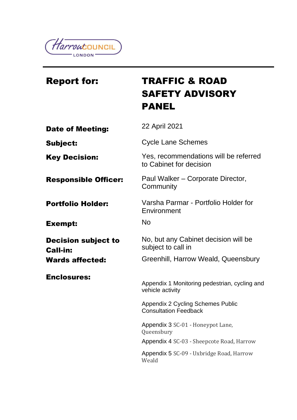

# Report for: TRAFFIC & ROAD SAFETY ADVISORY PANEL **Date of Meeting:** 22 April 2021 Subject: Cycle Lane Schemes Key Decision: Yes, recommendations will be referred to Cabinet for decision Responsible Officer: Paul Walker – Corporate Director, **Community Portfolio Holder:** Varsha Parmar - Portfolio Holder for **Environment** Exempt: No Decision subject to Call-in: No, but any Cabinet decision will be subject to call in Wards affected: Greenhill, Harrow Weald, Queensbury Enclosures: Appendix 1 Monitoring pedestrian, cycling and vehicle activity Appendix 2 Cycling Schemes Public Consultation Feedback Appendix 3 SC-01 - Honeypot Lane, Queensbury Appendix 4 SC-03 - Sheepcote Road, Harrow Appendix 5 SC-09 - Uxbridge Road, Harrow Weald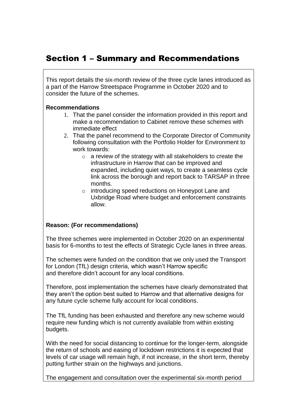# Section 1 – Summary and Recommendations

This report details the six-month review of the three cycle lanes introduced as a part of the Harrow Streetspace Programme in October 2020 and to consider the future of the schemes.

#### **Recommendations**

- 1. That the panel consider the information provided in this report and make a recommendation to Cabinet remove these schemes with immediate effect
- 2. That the panel recommend to the Corporate Director of Community following consultation with the Portfolio Holder for Environment to work towards:
	- o a review of the strategy with all stakeholders to create the infrastructure in Harrow that can be improved and expanded, including quiet ways, to create a seamless cycle link across the borough and report back to TARSAP in three months.
	- o introducing speed reductions on Honeypot Lane and Uxbridge Road where budget and enforcement constraints allow.

#### **Reason: (For recommendations)**

The three schemes were implemented in October 2020 on an experimental basis for 6-months to test the effects of Strategic Cycle lanes in three areas.

The schemes were funded on the condition that we only used the Transport for London (TfL) design criteria, which wasn't Harrow specific and therefore didn't account for any local conditions.

Therefore, post implementation the schemes have clearly demonstrated that they aren't the option best suited to Harrow and that alternative designs for any future cycle scheme fully account for local conditions.

The TfL funding has been exhausted and therefore any new scheme would require new funding which is not currently available from within existing budgets.

With the need for social distancing to continue for the longer-term, alongside the return of schools and easing of lockdown restrictions it is expected that levels of car usage will remain high, if not increase, in the short term, thereby putting further strain on the highways and junctions.

The engagement and consultation over the experimental six-month period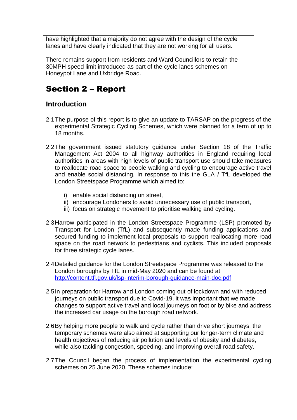have highlighted that a majority do not agree with the design of the cycle lanes and have clearly indicated that they are not working for all users.

There remains support from residents and Ward Councillors to retain the 30MPH speed limit introduced as part of the cycle lanes schemes on Honeypot Lane and Uxbridge Road.

# Section 2 – Report

# **Introduction**

- 2.1The purpose of this report is to give an update to TARSAP on the progress of the experimental Strategic Cycling Schemes, which were planned for a term of up to 18 months.
- 2.2The government issued statutory guidance under Section 18 of the Traffic Management Act 2004 to all highway authorities in England requiring local authorities in areas with high levels of public transport use should take measures to reallocate road space to people walking and cycling to encourage active travel and enable social distancing. In response to this the GLA / TfL developed the London Streetspace Programme which aimed to:
	- i) enable social distancing on street,
	- ii) encourage Londoners to avoid unnecessary use of public transport,
	- iii) focus on strategic movement to prioritise walking and cycling.
- 2.3Harrow participated in the London Streetspace Programme (LSP) promoted by Transport for London (TfL) and subsequently made funding applications and secured funding to implement local proposals to support reallocating more road space on the road network to pedestrians and cyclists. This included proposals for three strategic cycle lanes.
- 2.4Detailed guidance for the London Streetspace Programme was released to the London boroughs by TfL in mid-May 2020 and can be found at <http://content.tfl.gov.uk/lsp-interim-borough-guidance-main-doc.pdf>
- 2.5In preparation for Harrow and London coming out of lockdown and with reduced journeys on public transport due to Covid-19, it was important that we made changes to support active travel and local journeys on foot or by bike and address the increased car usage on the borough road network.
- 2.6By helping more people to walk and cycle rather than drive short journeys, the temporary schemes were also aimed at supporting our longer-term climate and health objectives of reducing air pollution and levels of obesity and diabetes, while also tackling congestion, speeding, and improving overall road safety.
- 2.7The Council began the process of implementation the experimental cycling schemes on 25 June 2020. These schemes include: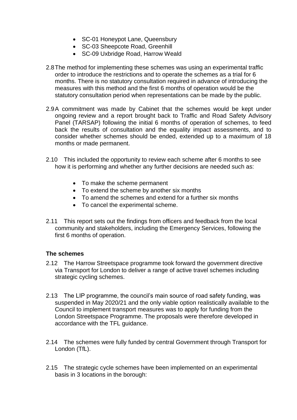- SC-01 Honeypot Lane, Queensbury
- SC-03 Sheepcote Road, Greenhill
- SC-09 Uxbridge Road, Harrow Weald
- 2.8The method for implementing these schemes was using an experimental traffic order to introduce the restrictions and to operate the schemes as a trial for 6 months. There is no statutory consultation required in advance of introducing the measures with this method and the first 6 months of operation would be the statutory consultation period when representations can be made by the public.
- 2.9A commitment was made by Cabinet that the schemes would be kept under ongoing review and a report brought back to Traffic and Road Safety Advisory Panel (TARSAP) following the initial 6 months of operation of schemes, to feed back the results of consultation and the equality impact assessments, and to consider whether schemes should be ended, extended up to a maximum of 18 months or made permanent.
- 2.10 This included the opportunity to review each scheme after 6 months to see how it is performing and whether any further decisions are needed such as:
	- To make the scheme permanent
	- To extend the scheme by another six months
	- To amend the schemes and extend for a further six months
	- To cancel the experimental scheme.
- 2.11 This report sets out the findings from officers and feedback from the local community and stakeholders, including the Emergency Services, following the first 6 months of operation.

#### **The schemes**

- 2.12 The Harrow Streetspace programme took forward the government directive via Transport for London to deliver a range of active travel schemes including strategic cycling schemes.
- 2.13 The LIP programme, the council's main source of road safety funding, was suspended in May 2020/21 and the only viable option realistically available to the Council to implement transport measures was to apply for funding from the London Streetspace Programme. The proposals were therefore developed in accordance with the TFL guidance.
- 2.14 The schemes were fully funded by central Government through Transport for London (TfL).
- 2.15 The strategic cycle schemes have been implemented on an experimental basis in 3 locations in the borough: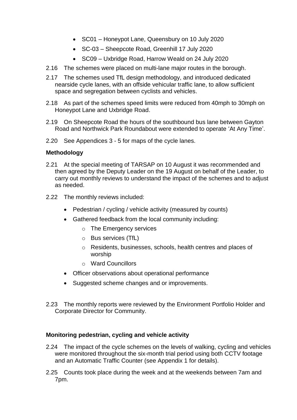- SC01 Honeypot Lane, Queensbury on 10 July 2020
- SC-03 Sheepcote Road, Greenhill 17 July 2020
- SC09 Uxbridge Road, Harrow Weald on 24 July 2020
- 2.16 The schemes were placed on multi-lane major routes in the borough.
- 2.17 The schemes used TfL design methodology, and introduced dedicated nearside cycle lanes, with an offside vehicular traffic lane, to allow sufficient space and segregation between cyclists and vehicles.
- 2.18 As part of the schemes speed limits were reduced from 40mph to 30mph on Honeypot Lane and Uxbridge Road.
- 2.19 On Sheepcote Road the hours of the southbound bus lane between Gayton Road and Northwick Park Roundabout were extended to operate 'At Any Time'.
- 2.20 See Appendices 3 5 for maps of the cycle lanes.

#### **Methodology**

- 2.21 At the special meeting of TARSAP on 10 August it was recommended and then agreed by the Deputy Leader on the 19 August on behalf of the Leader, to carry out monthly reviews to understand the impact of the schemes and to adjust as needed.
- 2.22 The monthly reviews included:
	- Pedestrian / cycling / vehicle activity (measured by counts)
	- Gathered feedback from the local community including:
		- o The Emergency services
		- o Bus services (TfL)
		- o Residents, businesses, schools, health centres and places of worship
		- o Ward Councillors
	- Officer observations about operational performance
	- Suggested scheme changes and or improvements.
- 2.23 The monthly reports were reviewed by the Environment Portfolio Holder and Corporate Director for Community.

#### **Monitoring pedestrian, cycling and vehicle activity**

- 2.24 The impact of the cycle schemes on the levels of walking, cycling and vehicles were monitored throughout the six-month trial period using both CCTV footage and an Automatic Traffic Counter (see Appendix 1 for details).
- 2.25 Counts took place during the week and at the weekends between 7am and 7pm.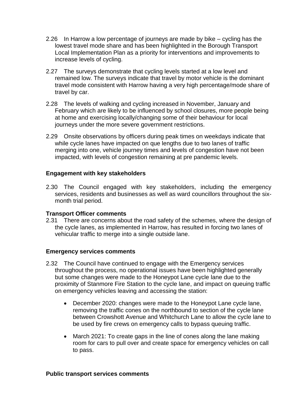- 2.26 In Harrow a low percentage of journeys are made by bike cycling has the lowest travel mode share and has been highlighted in the Borough Transport Local Implementation Plan as a priority for interventions and improvements to increase levels of cycling.
- 2.27 The surveys demonstrate that cycling levels started at a low level and remained low. The surveys indicate that travel by motor vehicle is the dominant travel mode consistent with Harrow having a very high percentage/mode share of travel by car.
- 2.28 The levels of walking and cycling increased in November, January and February which are likely to be influenced by school closures, more people being at home and exercising locally/changing some of their behaviour for local journeys under the more severe government restrictions.
- 2.29 Onsite observations by officers during peak times on weekdays indicate that while cycle lanes have impacted on que lengths due to two lanes of traffic merging into one, vehicle journey times and levels of congestion have not been impacted, with levels of congestion remaining at pre pandemic levels.

### **Engagement with key stakeholders**

2.30 The Council engaged with key stakeholders, including the emergency services, residents and businesses as well as ward councillors throughout the sixmonth trial period.

#### **Transport Officer comments**

2.31 There are concerns about the road safety of the schemes, where the design of the cycle lanes, as implemented in Harrow, has resulted in forcing two lanes of vehicular traffic to merge into a single outside lane.

#### **Emergency services comments**

- 2.32 The Council have continued to engage with the Emergency services throughout the process, no operational issues have been highlighted generally but some changes were made to the Honeypot Lane cycle lane due to the proximity of Stanmore Fire Station to the cycle lane, and impact on queuing traffic on emergency vehicles leaving and accessing the station:
	- December 2020: changes were made to the Honeypot Lane cycle lane, removing the traffic cones on the northbound to section of the cycle lane between Crowshott Avenue and Whitchurch Lane to allow the cycle lane to be used by fire crews on emergency calls to bypass queuing traffic.
	- March 2021: To create gaps in the line of cones along the lane making room for cars to pull over and create space for emergency vehicles on call to pass.

#### **Public transport services comments**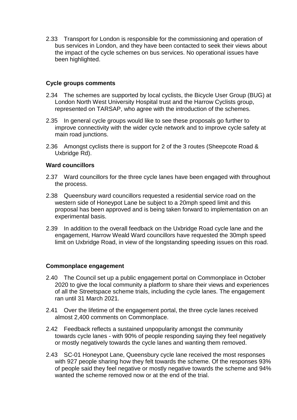2.33 Transport for London is responsible for the commissioning and operation of bus services in London, and they have been contacted to seek their views about the impact of the cycle schemes on bus services. No operational issues have been highlighted.

#### **Cycle groups comments**

- 2.34 The schemes are supported by local cyclists, the Bicycle User Group (BUG) at London North West University Hospital trust and the Harrow Cyclists group, represented on TARSAP, who agree with the introduction of the schemes.
- 2.35 In general cycle groups would like to see these proposals go further to improve connectivity with the wider cycle network and to improve cycle safety at main road junctions.
- 2.36 Amongst cyclists there is support for 2 of the 3 routes (Sheepcote Road & Uxbridge Rd).

#### **Ward councillors**

- 2.37 Ward councillors for the three cycle lanes have been engaged with throughout the process.
- 2.38 Queensbury ward councillors requested a residential service road on the western side of Honeypot Lane be subject to a 20mph speed limit and this proposal has been approved and is being taken forward to implementation on an experimental basis.
- 2.39 In addition to the overall feedback on the Uxbridge Road cycle lane and the engagement, Harrow Weald Ward councillors have requested the 30mph speed limit on Uxbridge Road, in view of the longstanding speeding issues on this road.

#### **Commonplace engagement**

- 2.40 The Council set up a public engagement portal on Commonplace in October 2020 to give the local community a platform to share their views and experiences of all the Streetspace scheme trials, including the cycle lanes. The engagement ran until 31 March 2021.
- 2.41 Over the lifetime of the engagement portal, the three cycle lanes received almost 2,400 comments on Commonplace.
- 2.42 Feedback reflects a sustained unpopularity amongst the community towards cycle lanes - with 90% of people responding saying they feel negatively or mostly negatively towards the cycle lanes and wanting them removed.
- 2.43 SC-01 Honeypot Lane, Queensbury cycle lane received the most responses with 927 people sharing how they felt towards the scheme. Of the responses 93% of people said they feel negative or mostly negative towards the scheme and 94% wanted the scheme removed now or at the end of the trial.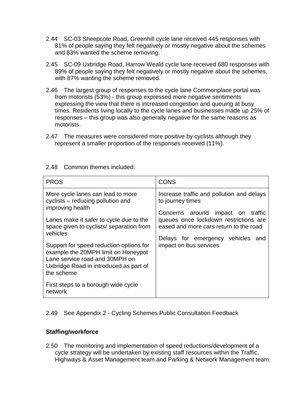- 2.44 SC-03 Sheepcote Road, Greenhill cycle lane received 445 responses with 81% of people saying they felt negatively or mostly negative about the schemes and 83% wanted the scheme removing.
- 2.45 SC-09 Uxbridge Road, Harrow Weald cycle lane received 680 responses with 89% of people saying they felt negatively or mostly negative about the schemes, with 87% wanting the scheme removed.
- 2.46 The largest group of responses to the cycle lane Commonplace portal was from motorists (53%) - this group expressed more negative sentiments expressing the view that there is increased congestion and queuing at busy times. Residents living locally to the cycle lanes and businesses made up 25% of responses – this group was also generally negative for the same reasons as motorists.
- 2.47 The measures were considered more positive by cyclists although they represent a smaller proportion of the responses received (11%).

| <b>PROS</b>                                                                                                                                                                                                                | <b>CONS</b>                                                                                                                                                                           |
|----------------------------------------------------------------------------------------------------------------------------------------------------------------------------------------------------------------------------|---------------------------------------------------------------------------------------------------------------------------------------------------------------------------------------|
| More cycle lanes can lead to more<br>cyclists – reducing pollution and<br>improving health<br>Lanes make it safer to cycle due to the<br>space given to cyclists/ separation from<br>vehicles                              | Increase traffic and pollution and delays<br>to journey times<br>Concerns around impact on traffic<br>queues once lockdown restrictions are<br>eased and more cars return to the road |
| Support for speed reduction options for<br>example the 20MPH limit on Honeypot<br>Lane service road and 30MPH on<br>Uxbridge Road in introduced as part of<br>the scheme<br>First steps to a borough wide cycle<br>network | Delays for emergency vehicles<br>and<br>impact on bus services                                                                                                                        |

#### 2.48 Common themes included:

2.49 See Appendix 2 - Cycling Schemes Public Consultation Feedback

### **Staffing/workforce**

2.50 The monitoring and implementation of speed reductions/development of a cycle strategy will be undertaken by existing staff resources within the Traffic, Highways & Asset Management team and Parking & Network Management team.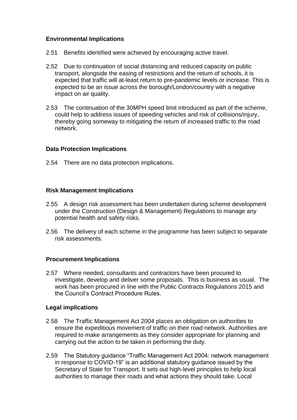### **Environmental Implications**

- 2.51 Benefits identified were achieved by encouraging active travel.
- 2.52 Due to continuation of social distancing and reduced capacity on public transport, alongside the easing of restrictions and the return of schools, it is expected that traffic will at-least return to pre-pandemic levels or increase. This is expected to be an issue across the borough/London/country with a negative impact on air quality.
- 2.53 The continuation of the 30MPH speed limit introduced as part of the scheme, could help to address issues of speeding vehicles and risk of collisions/injury, thereby going someway to mitigating the return of increased traffic to the road network.

### **Data Protection Implications**

2.54 There are no data protection implications.

#### **Risk Management Implications**

- 2.55 A design risk assessment has been undertaken during scheme development under the Construction (Design & Management) Regulations to manage any potential health and safety risks.
- 2.56 The delivery of each scheme in the programme has been subject to separate risk assessments.

#### **Procurement Implications**

2.57 Where needed, consultants and contractors have been procured to investigate, develop and deliver some proposals. This is business as usual. The work has been procured in line with the Public Contracts Regulations 2015 and the Council's Contract Procedure Rules.

#### **Legal implications**

- 2.58 The Traffic Management Act 2004 places an obligation on authorities to ensure the expeditious movement of traffic on their road network. Authorities are required to make arrangements as they consider appropriate for planning and carrying out the action to be taken in performing the duty.
- 2.59 The Statutory guidance "Traffic Management Act 2004: network management in response to COVID-19" is an additional statutory guidance issued by the Secretary of State for Transport. It sets out high-level principles to help local authorities to manage their roads and what actions they should take. Local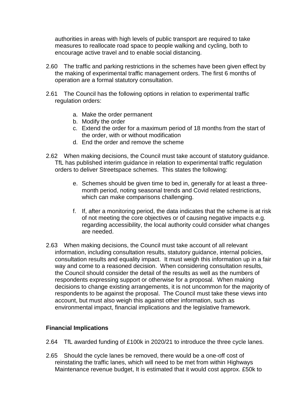authorities in areas with high levels of public transport are required to take measures to reallocate road space to people walking and cycling, both to encourage active travel and to enable social distancing.

- 2.60 The traffic and parking restrictions in the schemes have been given effect by the making of experimental traffic management orders. The first 6 months of operation are a formal statutory consultation.
- 2.61 The Council has the following options in relation to experimental traffic regulation orders:
	- a. Make the order permanent
	- b. Modify the order
	- c. Extend the order for a maximum period of 18 months from the start of the order, with or without modification
	- d. End the order and remove the scheme
- 2.62 When making decisions, the Council must take account of statutory guidance. TfL has published interim guidance in relation to experimental traffic regulation orders to deliver Streetspace schemes. This states the following:
	- e. Schemes should be given time to bed in, generally for at least a threemonth period, noting seasonal trends and Covid related restrictions, which can make comparisons challenging.
	- f. If, after a monitoring period, the data indicates that the scheme is at risk of not meeting the core objectives or of causing negative impacts e.g. regarding accessibility, the local authority could consider what changes are needed.
- 2.63 When making decisions, the Council must take account of all relevant information, including consultation results, statutory guidance, internal policies, consultation results and equality impact. It must weigh this information up in a fair way and come to a reasoned decision. When considering consultation results, the Council should consider the detail of the results as well as the numbers of respondents expressing support or otherwise for a proposal. When making decisions to change existing arrangements, it is not uncommon for the majority of respondents to be against the proposal. The Council must take these views into account, but must also weigh this against other information, such as environmental impact, financial implications and the legislative framework.

### **Financial Implications**

- 2.64 TfL awarded funding of £100k in 2020/21 to introduce the three cycle lanes.
- 2.65 Should the cycle lanes be removed, there would be a one-off cost of reinstating the traffic lanes, which will need to be met from within Highways Maintenance revenue budget, It is estimated that it would cost approx. £50k to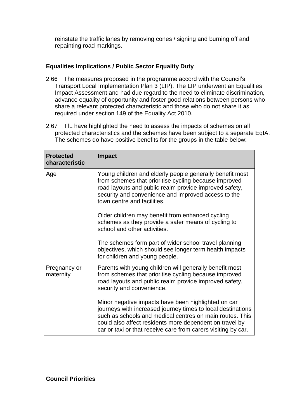reinstate the traffic lanes by removing cones / signing and burning off and repainting road markings.

### **Equalities Implications / Public Sector Equality Duty**

- 2.66 The measures proposed in the programme accord with the Council's Transport Local Implementation Plan 3 (LIP). The LIP underwent an Equalities Impact Assessment and had due regard to the need to eliminate discrimination, advance equality of opportunity and foster good relations between persons who share a relevant protected characteristic and those who do not share it as required under section 149 of the Equality Act 2010.
- 2.67 TfL have highlighted the need to assess the impacts of schemes on all protected characteristics and the schemes have been subject to a separate EqIA. The schemes do have positive benefits for the groups in the table below:

| <b>Protected</b><br>characteristic                     | <b>Impact</b>                                                                                                                                                                                                                                                                                              |
|--------------------------------------------------------|------------------------------------------------------------------------------------------------------------------------------------------------------------------------------------------------------------------------------------------------------------------------------------------------------------|
| Age                                                    | Young children and elderly people generally benefit most<br>from schemes that prioritise cycling because improved<br>road layouts and public realm provide improved safety,<br>security and convenience and improved access to the<br>town centre and facilities.                                          |
|                                                        | Older children may benefit from enhanced cycling<br>schemes as they provide a safer means of cycling to<br>school and other activities.                                                                                                                                                                    |
|                                                        | The schemes form part of wider school travel planning<br>objectives, which should see longer term health impacts<br>for children and young people.                                                                                                                                                         |
| Pregnancy or<br>maternity<br>security and convenience. | Parents with young children will generally benefit most<br>from schemes that prioritise cycling because improved<br>road layouts and public realm provide improved safety,                                                                                                                                 |
|                                                        | Minor negative impacts have been highlighted on car<br>journeys with increased journey times to local destinations<br>such as schools and medical centres on main routes. This<br>could also affect residents more dependent on travel by<br>car or taxi or that receive care from carers visiting by car. |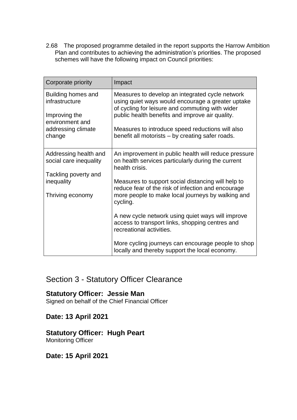2.68 The proposed programme detailed in the report supports the Harrow Ambition Plan and contributes to achieving the administration's priorities. The proposed schemes will have the following impact on Council priorities:

| Corporate priority                              | Impact                                                                                                                                                  |
|-------------------------------------------------|---------------------------------------------------------------------------------------------------------------------------------------------------------|
| Building homes and<br>infrastructure            | Measures to develop an integrated cycle network<br>using quiet ways would encourage a greater uptake<br>of cycling for leisure and commuting with wider |
| Improving the<br>environment and                | public health benefits and improve air quality.                                                                                                         |
| addressing climate<br>change                    | Measures to introduce speed reductions will also<br>benefit all motorists – by creating safer roads.                                                    |
| Addressing health and<br>social care inequality | An improvement in public health will reduce pressure<br>on health services particularly during the current<br>health crisis.                            |
| Tackling poverty and<br>inequality              | Measures to support social distancing will help to                                                                                                      |
|                                                 | reduce fear of the risk of infection and encourage                                                                                                      |
| Thriving economy                                | more people to make local journeys by walking and<br>cycling.                                                                                           |
|                                                 | A new cycle network using quiet ways will improve<br>access to transport links, shopping centres and<br>recreational activities.                        |
|                                                 | More cycling journeys can encourage people to shop<br>locally and thereby support the local economy.                                                    |

# Section 3 - Statutory Officer Clearance

# **Statutory Officer: Jessie Man**

Signed on behalf of the Chief Financial Officer

### **Date: 13 April 2021**

# **Statutory Officer: Hugh Peart**

Monitoring Officer

# **Date: 15 April 2021**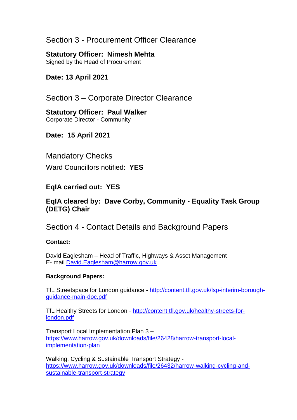# Section 3 - Procurement Officer Clearance

### **Statutory Officer: Nimesh Mehta**

Signed by the Head of Procurement

# **Date: 13 April 2021**

Section 3 – Corporate Director Clearance

### **Statutory Officer: Paul Walker** Corporate Director - Community

# **Date: 15 April 2021**

# Mandatory Checks

Ward Councillors notified: **YES**

# **EqIA carried out: YES**

# **EqIA cleared by: Dave Corby, Community - Equality Task Group (DETG) Chair**

Section 4 - Contact Details and Background Papers

### **Contact:**

David Eaglesham – Head of Traffic, Highways & Asset Management E- mail [David.Eaglesham@harrow.gov.uk](mailto:David.Eaglesham@harrow.gov.uk)

### **Background Papers:**

TfL Streetspace for London guidance - [http://content.tfl.gov.uk/lsp-interim-borough](http://content.tfl.gov.uk/lsp-interim-borough-guidance-main-doc.pdf)[guidance-main-doc.pdf](http://content.tfl.gov.uk/lsp-interim-borough-guidance-main-doc.pdf)

TfL Healthy Streets for London - [http://content.tfl.gov.uk/healthy-streets-for](http://content.tfl.gov.uk/healthy-streets-for-london.pdf)[london.pdf](http://content.tfl.gov.uk/healthy-streets-for-london.pdf)

Transport Local Implementation Plan 3 – [https://www.harrow.gov.uk/downloads/file/26428/harrow-transport-local](https://www.harrow.gov.uk/downloads/file/26428/harrow-transport-local-implementation-plan)[implementation-plan](https://www.harrow.gov.uk/downloads/file/26428/harrow-transport-local-implementation-plan)

Walking, Cycling & Sustainable Transport Strategy [https://www.harrow.gov.uk/downloads/file/26432/harrow-walking-cycling-and](https://www.harrow.gov.uk/downloads/file/26432/harrow-walking-cycling-and-sustainable-transport-strategy)[sustainable-transport-strategy](https://www.harrow.gov.uk/downloads/file/26432/harrow-walking-cycling-and-sustainable-transport-strategy)